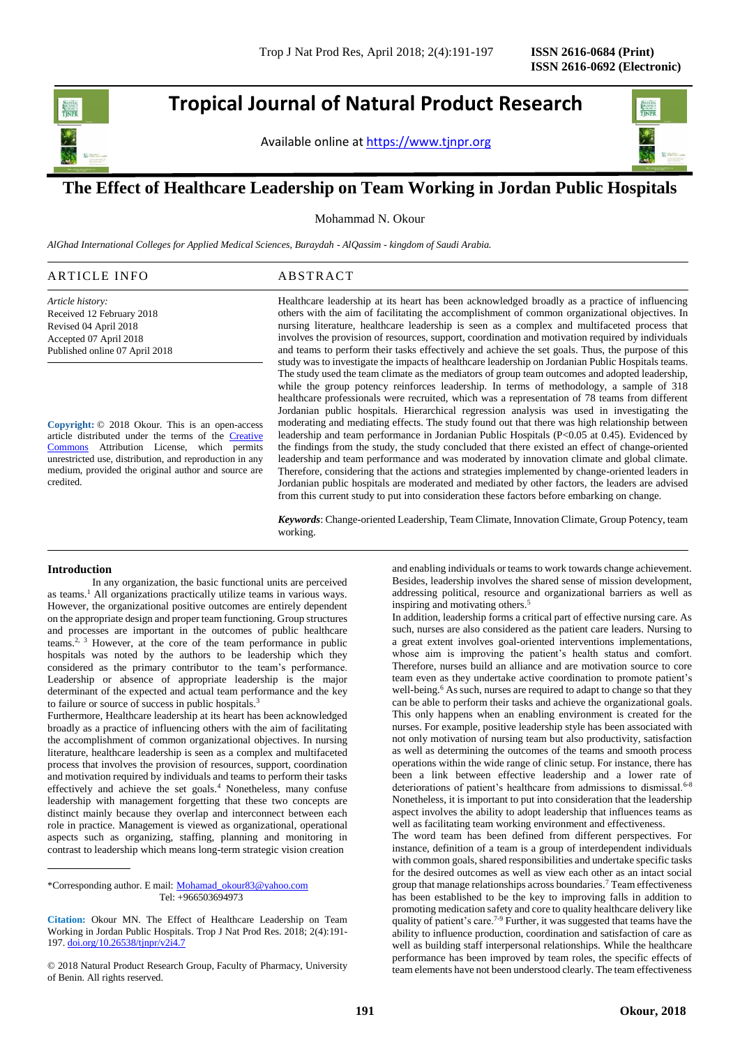j

**Tropical Journal of Natural Product Research**

Available online at [https://www.tjnpr.org](https://www.tjnpr.org/)



## **The Effect of Healthcare Leadership on Team Working in Jordan Public Hospitals**

Mohammad N. Okour

*AlGhad International Colleges for Applied Medical Sciences, Buraydah - AlQassim - kingdom of Saudi Arabia.*

### ARTICLE INFO ABSTRACT

*Article history:* Received 12 February 2018 Revised 04 April 2018 Accepted 07 April 2018 Published online 07 April 2018

**Copyright:** © 2018 Okour. This is an open-access article distributed under the terms of the [Creative](https://creativecommons.org/licenses/by/4.0/)  [Commons](https://creativecommons.org/licenses/by/4.0/) Attribution License, which permits unrestricted use, distribution, and reproduction in any medium, provided the original author and source are credited.

Healthcare leadership at its heart has been acknowledged broadly as a practice of influencing others with the aim of facilitating the accomplishment of common organizational objectives. In nursing literature, healthcare leadership is seen as a complex and multifaceted process that involves the provision of resources, support, coordination and motivation required by individuals and teams to perform their tasks effectively and achieve the set goals. Thus, the purpose of this study was to investigate the impacts of healthcare leadership on Jordanian Public Hospitals teams. The study used the team climate as the mediators of group team outcomes and adopted leadership, while the group potency reinforces leadership. In terms of methodology, a sample of 318 healthcare professionals were recruited, which was a representation of 78 teams from different Jordanian public hospitals. Hierarchical regression analysis was used in investigating the moderating and mediating effects. The study found out that there was high relationship between leadership and team performance in Jordanian Public Hospitals (P<0.05 at 0.45). Evidenced by the findings from the study, the study concluded that there existed an effect of change-oriented leadership and team performance and was moderated by innovation climate and global climate. Therefore, considering that the actions and strategies implemented by change-oriented leaders in Jordanian public hospitals are moderated and mediated by other factors, the leaders are advised from this current study to put into consideration these factors before embarking on change.

*Keywords*: Change-oriented Leadership, Team Climate, Innovation Climate, Group Potency, team working.

#### **Introduction**

In any organization, the basic functional units are perceived as teams.<sup>1</sup> All organizations practically utilize teams in various ways. However, the organizational positive outcomes are entirely dependent on the appropriate design and proper team functioning. Group structures and processes are important in the outcomes of public healthcare teams.2, 3 However, at the core of the team performance in public hospitals was noted by the authors to be leadership which they considered as the primary contributor to the team's performance. Leadership or absence of appropriate leadership is the major determinant of the expected and actual team performance and the key to failure or source of success in public hospitals.<sup>3</sup>

Furthermore, Healthcare leadership at its heart has been acknowledged broadly as a practice of influencing others with the aim of facilitating the accomplishment of common organizational objectives. In nursing literature, healthcare leadership is seen as a complex and multifaceted process that involves the provision of resources, support, coordination and motivation required by individuals and teams to perform their tasks effectively and achieve the set goals.<sup>4</sup> Nonetheless, many confuse leadership with management forgetting that these two concepts are distinct mainly because they overlap and interconnect between each role in practice. Management is viewed as organizational, operational aspects such as organizing, staffing, planning and monitoring in contrast to leadership which means long-term strategic vision creation

\*Corresponding author. E mail: [Mohamad\\_okour83@yahoo.com](mailto:Mohamad_okour83@yahoo.com) Tel: +966503694973

and enabling individuals or teams to work towards change achievement. Besides, leadership involves the shared sense of mission development, addressing political, resource and organizational barriers as well as inspiring and motivating others.<sup>5</sup>

In addition, leadership forms a critical part of effective nursing care. As such, nurses are also considered as the patient care leaders. Nursing to a great extent involves goal-oriented interventions implementations, whose aim is improving the patient's health status and comfort. Therefore, nurses build an alliance and are motivation source to core team even as they undertake active coordination to promote patient's well-being.<sup>6</sup> As such, nurses are required to adapt to change so that they can be able to perform their tasks and achieve the organizational goals. This only happens when an enabling environment is created for the nurses. For example, positive leadership style has been associated with not only motivation of nursing team but also productivity, satisfaction as well as determining the outcomes of the teams and smooth process operations within the wide range of clinic setup. For instance, there has been a link between effective leadership and a lower rate of deteriorations of patient's healthcare from admissions to dismissal.<sup>6-8</sup> Nonetheless, it is important to put into consideration that the leadership aspect involves the ability to adopt leadership that influences teams as well as facilitating team working environment and effectiveness.

The word team has been defined from different perspectives. For instance, definition of a team is a group of interdependent individuals with common goals, shared responsibilities and undertake specific tasks for the desired outcomes as well as view each other as an intact social group that manage relationships across boundaries.<sup>7</sup> Team effectiveness has been established to be the key to improving falls in addition to promoting medication safety and core to quality healthcare delivery like quality of patient's care.<sup>7-9</sup> Further, it was suggested that teams have the ability to influence production, coordination and satisfaction of care as well as building staff interpersonal relationships. While the healthcare performance has been improved by team roles, the specific effects of team elements have not been understood clearly. The team effectiveness

**Citation:** Okour MN. The Effect of Healthcare Leadership on Team Working in Jordan Public Hospitals. Trop J Nat Prod Res. 2018; 2(4):191- 197[. doi.org/10.26538/tjnpr/v2i4.7](http://www.doi.org/10.26538/tjnpr/v1i4.5)

<sup>© 2018</sup> Natural Product Research Group, Faculty of Pharmacy, University of Benin. All rights reserved.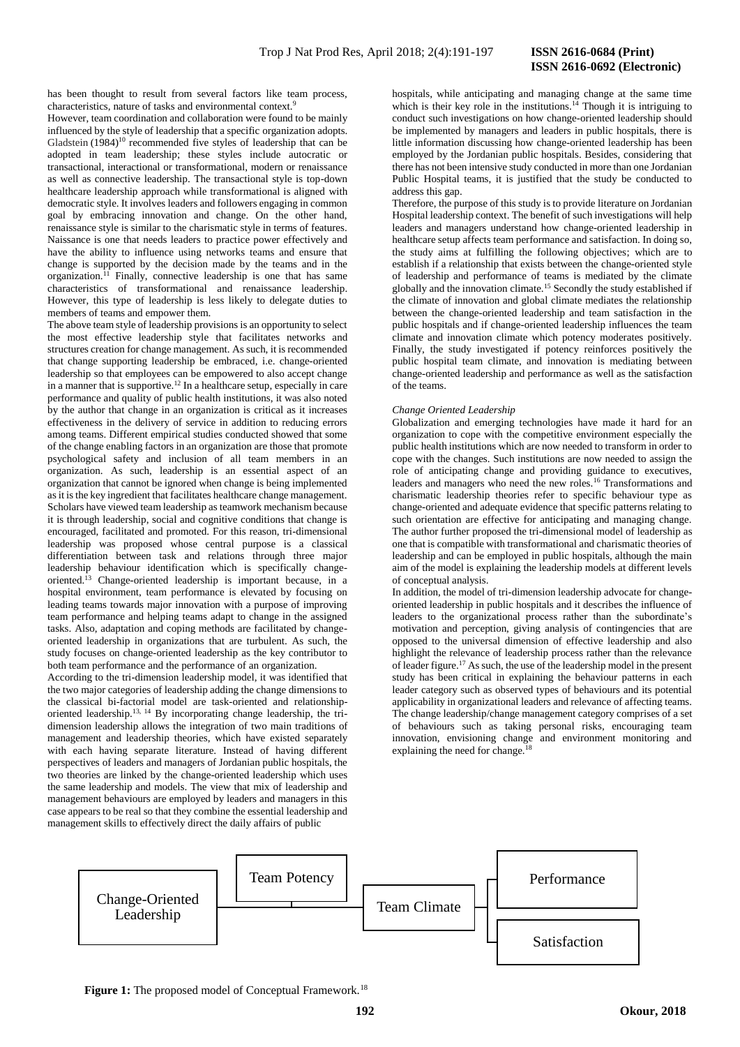## **ISSN 2616-0692 (Electronic)**

has been thought to result from several factors like team process, characteristics, nature of tasks and environmental context.<sup>9</sup>

However, team coordination and collaboration were found to be mainly influenced by the style of leadership that a specific organization adopts. Gladstein (1984)<sup>10</sup> recommended five styles of leadership that can be adopted in team leadership; these styles include autocratic or transactional, interactional or transformational, modern or renaissance as well as connective leadership. The transactional style is top-down healthcare leadership approach while transformational is aligned with democratic style. It involves leaders and followers engaging in common goal by embracing innovation and change. On the other hand, renaissance style is similar to the charismatic style in terms of features. Naissance is one that needs leaders to practice power effectively and have the ability to influence using networks teams and ensure that change is supported by the decision made by the teams and in the organization. <sup>11</sup> Finally, connective leadership is one that has same characteristics of transformational and renaissance leadership. However, this type of leadership is less likely to delegate duties to members of teams and empower them.

The above team style of leadership provisions is an opportunity to select the most effective leadership style that facilitates networks and structures creation for change management. As such, it is recommended that change supporting leadership be embraced, i.e. change-oriented leadership so that employees can be empowered to also accept change in a manner that is supportive.<sup>12</sup> In a healthcare setup, especially in care performance and quality of public health institutions, it was also noted by the author that change in an organization is critical as it increases effectiveness in the delivery of service in addition to reducing errors among teams. Different empirical studies conducted showed that some of the change enabling factors in an organization are those that promote psychological safety and inclusion of all team members in an organization. As such, leadership is an essential aspect of an organization that cannot be ignored when change is being implemented as it is the key ingredient that facilitates healthcare change management. Scholars have viewed team leadership as teamwork mechanism because it is through leadership, social and cognitive conditions that change is encouraged, facilitated and promoted. For this reason, tri-dimensional leadership was proposed whose central purpose is a classical differentiation between task and relations through three major leadership behaviour identification which is specifically changeoriented.<sup>13</sup> Change-oriented leadership is important because, in a hospital environment, team performance is elevated by focusing on leading teams towards major innovation with a purpose of improving team performance and helping teams adapt to change in the assigned tasks. Also, adaptation and coping methods are facilitated by changeoriented leadership in organizations that are turbulent. As such, the study focuses on change-oriented leadership as the key contributor to both team performance and the performance of an organization.

According to the tri-dimension leadership model, it was identified that the two major categories of leadership adding the change dimensions to the classical bi-factorial model are task-oriented and relationshiporiented leadership.13, 14 By incorporating change leadership, the tridimension leadership allows the integration of two main traditions of management and leadership theories, which have existed separately with each having separate literature. Instead of having different perspectives of leaders and managers of Jordanian public hospitals, the two theories are linked by the change-oriented leadership which uses the same leadership and models. The view that mix of leadership and management behaviours are employed by leaders and managers in this case appears to be real so that they combine the essential leadership and management skills to effectively direct the daily affairs of public

hospitals, while anticipating and managing change at the same time which is their key role in the institutions.<sup>14</sup> Though it is intriguing to conduct such investigations on how change-oriented leadership should be implemented by managers and leaders in public hospitals, there is little information discussing how change-oriented leadership has been employed by the Jordanian public hospitals. Besides, considering that there has not been intensive study conducted in more than one Jordanian Public Hospital teams, it is justified that the study be conducted to address this gap.

Therefore, the purpose of this study is to provide literature on Jordanian Hospital leadership context. The benefit of such investigations will help leaders and managers understand how change-oriented leadership in healthcare setup affects team performance and satisfaction. In doing so, the study aims at fulfilling the following objectives; which are to establish if a relationship that exists between the change-oriented style of leadership and performance of teams is mediated by the climate globally and the innovation climate.<sup>15</sup> Secondly the study established if the climate of innovation and global climate mediates the relationship between the change-oriented leadership and team satisfaction in the public hospitals and if change-oriented leadership influences the team climate and innovation climate which potency moderates positively. Finally, the study investigated if potency reinforces positively the public hospital team climate, and innovation is mediating between change-oriented leadership and performance as well as the satisfaction of the teams.

#### *Change Oriented Leadership*

Globalization and emerging technologies have made it hard for an organization to cope with the competitive environment especially the public health institutions which are now needed to transform in order to cope with the changes. Such institutions are now needed to assign the role of anticipating change and providing guidance to executives, leaders and managers who need the new roles.<sup>16</sup> Transformations and charismatic leadership theories refer to specific behaviour type as change-oriented and adequate evidence that specific patterns relating to such orientation are effective for anticipating and managing change. The author further proposed the tri-dimensional model of leadership as one that is compatible with transformational and charismatic theories of leadership and can be employed in public hospitals, although the main aim of the model is explaining the leadership models at different levels of conceptual analysis.

In addition, the model of tri-dimension leadership advocate for changeoriented leadership in public hospitals and it describes the influence of leaders to the organizational process rather than the subordinate's motivation and perception, giving analysis of contingencies that are opposed to the universal dimension of effective leadership and also highlight the relevance of leadership process rather than the relevance of leader figure.<sup>17</sup> As such, the use of the leadership model in the present study has been critical in explaining the behaviour patterns in each leader category such as observed types of behaviours and its potential applicability in organizational leaders and relevance of affecting teams. The change leadership/change management category comprises of a set of behaviours such as taking personal risks, encouraging team innovation, envisioning change and environment monitoring and explaining the need for change.<sup>18</sup>

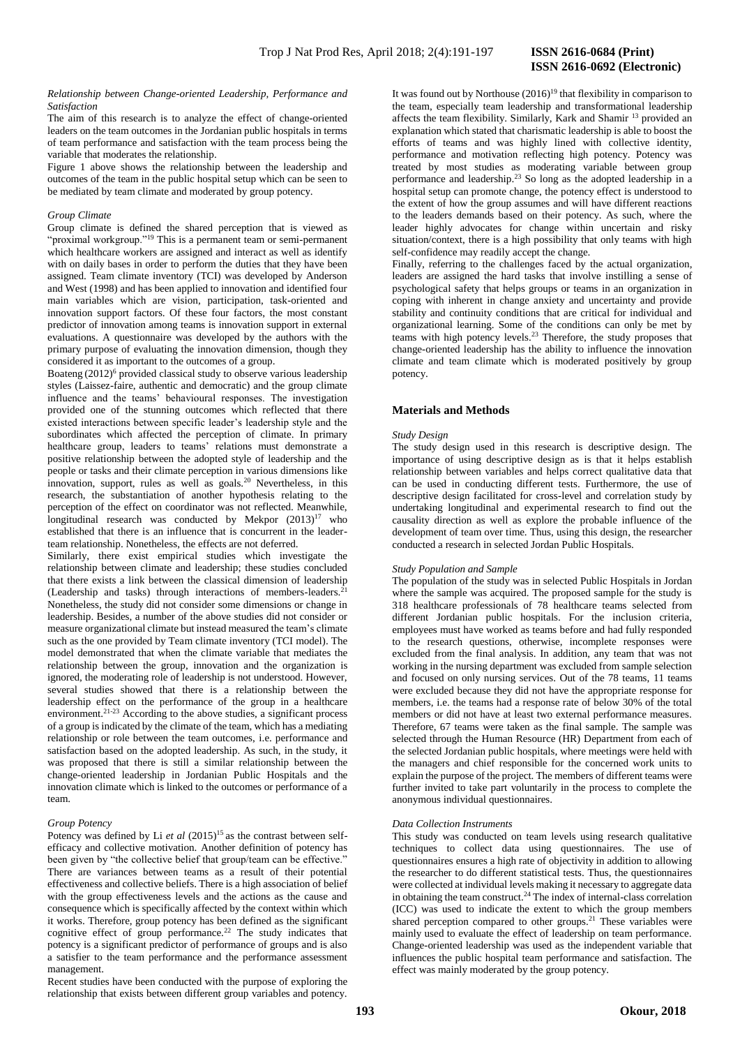# **ISSN 2616-0692 (Electronic)**

#### *Relationship between Change-oriented Leadership, Performance and Satisfaction*

The aim of this research is to analyze the effect of change-oriented leaders on the team outcomes in the Jordanian public hospitals in terms of team performance and satisfaction with the team process being the variable that moderates the relationship.

Figure 1 above shows the relationship between the leadership and outcomes of the team in the public hospital setup which can be seen to be mediated by team climate and moderated by group potency.

#### *Group Climate*

Group climate is defined the shared perception that is viewed as "proximal workgroup."<sup>19</sup> This is a permanent team or semi-permanent which healthcare workers are assigned and interact as well as identify with on daily bases in order to perform the duties that they have been assigned. Team climate inventory (TCI) was developed by Anderson and West (1998) and has been applied to innovation and identified four main variables which are vision, participation, task-oriented and innovation support factors. Of these four factors, the most constant predictor of innovation among teams is innovation support in external evaluations. A questionnaire was developed by the authors with the primary purpose of evaluating the innovation dimension, though they considered it as important to the outcomes of a group.

Boateng  $(2012)^6$  provided classical study to observe various leadership styles (Laissez-faire, authentic and democratic) and the group climate influence and the teams' behavioural responses. The investigation provided one of the stunning outcomes which reflected that there existed interactions between specific leader's leadership style and the subordinates which affected the perception of climate. In primary healthcare group, leaders to teams' relations must demonstrate a positive relationship between the adopted style of leadership and the people or tasks and their climate perception in various dimensions like innovation, support, rules as well as goals.<sup>20</sup> Nevertheless, in this research, the substantiation of another hypothesis relating to the perception of the effect on coordinator was not reflected. Meanwhile, longitudinal research was conducted by Mekpor  $(2013)^{17}$  who established that there is an influence that is concurrent in the leaderteam relationship. Nonetheless, the effects are not deferred.

Similarly, there exist empirical studies which investigate the relationship between climate and leadership; these studies concluded that there exists a link between the classical dimension of leadership (Leadership and tasks) through interactions of members-leaders.<sup>2</sup> Nonetheless, the study did not consider some dimensions or change in leadership. Besides, a number of the above studies did not consider or measure organizational climate but instead measured the team's climate such as the one provided by Team climate inventory (TCI model). The model demonstrated that when the climate variable that mediates the relationship between the group, innovation and the organization is ignored, the moderating role of leadership is not understood. However, several studies showed that there is a relationship between the leadership effect on the performance of the group in a healthcare environment.<sup>21-23</sup> According to the above studies, a significant process of a group is indicated by the climate of the team, which has a mediating relationship or role between the team outcomes, i.e. performance and satisfaction based on the adopted leadership. As such, in the study, it was proposed that there is still a similar relationship between the change-oriented leadership in Jordanian Public Hospitals and the innovation climate which is linked to the outcomes or performance of a team.

### *Group Potency*

Potency was defined by Li *et al*  $(2015)^{15}$  as the contrast between selfefficacy and collective motivation. Another definition of potency has been given by "the collective belief that group/team can be effective." There are variances between teams as a result of their potential effectiveness and collective beliefs. There is a high association of belief with the group effectiveness levels and the actions as the cause and consequence which is specifically affected by the context within which it works. Therefore, group potency has been defined as the significant cognitive effect of group performance.<sup>22</sup> The study indicates that potency is a significant predictor of performance of groups and is also a satisfier to the team performance and the performance assessment management.

Recent studies have been conducted with the purpose of exploring the relationship that exists between different group variables and potency.

It was found out by Northouse  $(2016)^{19}$  that flexibility in comparison to the team, especially team leadership and transformational leadership affects the team flexibility. Similarly, Kark and Shamir <sup>13</sup> provided an explanation which stated that charismatic leadership is able to boost the efforts of teams and was highly lined with collective identity, performance and motivation reflecting high potency. Potency was treated by most studies as moderating variable between group performance and leadership.<sup>23</sup> So long as the adopted leadership in a hospital setup can promote change, the potency effect is understood to the extent of how the group assumes and will have different reactions to the leaders demands based on their potency. As such, where the leader highly advocates for change within uncertain and risky situation/context, there is a high possibility that only teams with high self-confidence may readily accept the change.

Finally, referring to the challenges faced by the actual organization, leaders are assigned the hard tasks that involve instilling a sense of psychological safety that helps groups or teams in an organization in coping with inherent in change anxiety and uncertainty and provide stability and continuity conditions that are critical for individual and organizational learning. Some of the conditions can only be met by teams with high potency levels. $23$  Therefore, the study proposes that change-oriented leadership has the ability to influence the innovation climate and team climate which is moderated positively by group potency.

#### **Materials and Methods**

#### *Study Design*

The study design used in this research is descriptive design. The importance of using descriptive design as is that it helps establish relationship between variables and helps correct qualitative data that can be used in conducting different tests. Furthermore, the use of descriptive design facilitated for cross-level and correlation study by undertaking longitudinal and experimental research to find out the causality direction as well as explore the probable influence of the development of team over time. Thus, using this design, the researcher conducted a research in selected Jordan Public Hospitals.

#### *Study Population and Sample*

The population of the study was in selected Public Hospitals in Jordan where the sample was acquired. The proposed sample for the study is 318 healthcare professionals of 78 healthcare teams selected from different Jordanian public hospitals. For the inclusion criteria, employees must have worked as teams before and had fully responded to the research questions, otherwise, incomplete responses were excluded from the final analysis. In addition, any team that was not working in the nursing department was excluded from sample selection and focused on only nursing services. Out of the 78 teams, 11 teams were excluded because they did not have the appropriate response for members, i.e. the teams had a response rate of below 30% of the total members or did not have at least two external performance measures. Therefore, 67 teams were taken as the final sample. The sample was selected through the Human Resource (HR) Department from each of the selected Jordanian public hospitals, where meetings were held with the managers and chief responsible for the concerned work units to explain the purpose of the project. The members of different teams were further invited to take part voluntarily in the process to complete the anonymous individual questionnaires.

#### *Data Collection Instruments*

This study was conducted on team levels using research qualitative techniques to collect data using questionnaires. The use of questionnaires ensures a high rate of objectivity in addition to allowing the researcher to do different statistical tests. Thus, the questionnaires were collected at individual levels making it necessary to aggregate data in obtaining the team construct.<sup>24</sup> The index of internal-class correlation (ICC) was used to indicate the extent to which the group members shared perception compared to other groups.<sup>21</sup> These variables were mainly used to evaluate the effect of leadership on team performance. Change-oriented leadership was used as the independent variable that influences the public hospital team performance and satisfaction. The effect was mainly moderated by the group potency.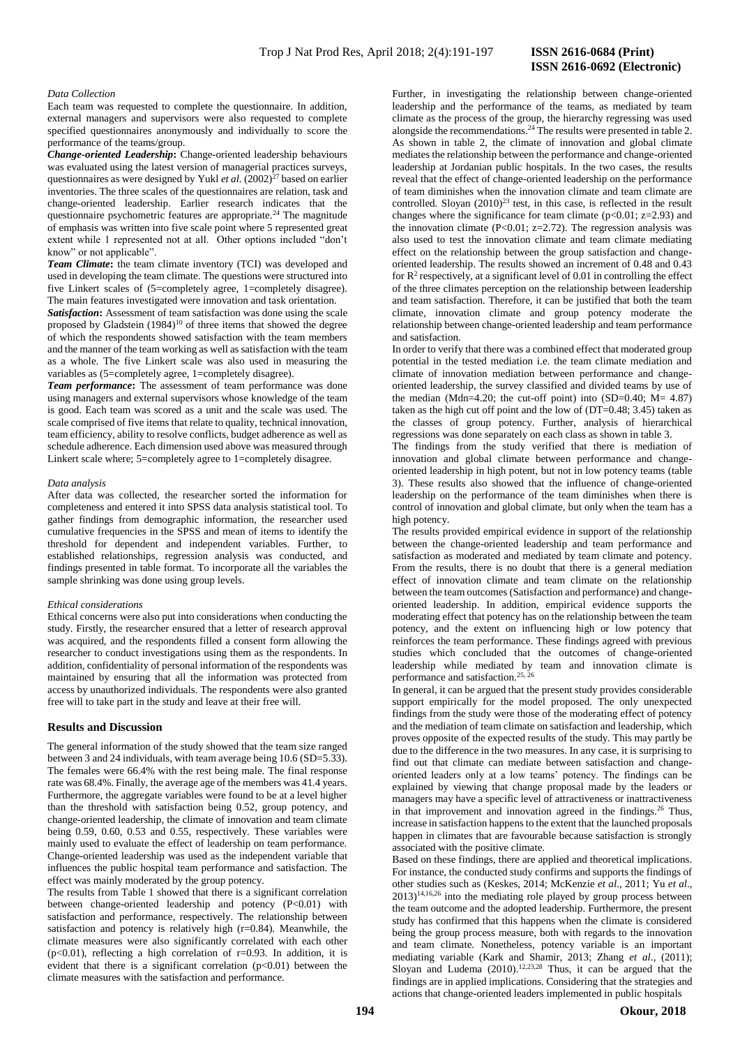## **ISSN 2616-0692 (Electronic)**

#### *Data Collection*

Each team was requested to complete the questionnaire. In addition, external managers and supervisors were also requested to complete specified questionnaires anonymously and individually to score the performance of the teams/group.

*Change-oriented Leadership***:** Change-oriented leadership behaviours was evaluated using the latest version of managerial practices surveys, questionnaires as were designed by Yukl *et al.* (2002)<sup>27</sup> based on earlier inventories. The three scales of the questionnaires are relation, task and change-oriented leadership. Earlier research indicates that the questionnaire psychometric features are appropriate.<sup>24</sup> The magnitude of emphasis was written into five scale point where 5 represented great extent while 1 represented not at all. Other options included "don't know" or not applicable".

*Team Climate***:** the team climate inventory (TCI) was developed and used in developing the team climate. The questions were structured into five Linkert scales of (5=completely agree, 1=completely disagree). The main features investigated were innovation and task orientation.

*Satisfaction***:** Assessment of team satisfaction was done using the scale proposed by Gladstein  $(1984)^{10}$  of three items that showed the degree of which the respondents showed satisfaction with the team members and the manner of the team working as well as satisfaction with the team as a whole. The five Linkert scale was also used in measuring the variables as (5=completely agree, 1=completely disagree).

*Team performance***:** The assessment of team performance was done using managers and external supervisors whose knowledge of the team is good. Each team was scored as a unit and the scale was used. The scale comprised of five items that relate to quality, technical innovation, team efficiency, ability to resolve conflicts, budget adherence as well as schedule adherence. Each dimension used above was measured through Linkert scale where; 5=completely agree to 1=completely disagree.

#### *Data analysis*

After data was collected, the researcher sorted the information for completeness and entered it into SPSS data analysis statistical tool. To gather findings from demographic information, the researcher used cumulative frequencies in the SPSS and mean of items to identify the threshold for dependent and independent variables. Further, to established relationships, regression analysis was conducted, and findings presented in table format. To incorporate all the variables the sample shrinking was done using group levels.

#### *Ethical considerations*

Ethical concerns were also put into considerations when conducting the study. Firstly, the researcher ensured that a letter of research approval was acquired, and the respondents filled a consent form allowing the researcher to conduct investigations using them as the respondents. In addition, confidentiality of personal information of the respondents was maintained by ensuring that all the information was protected from access by unauthorized individuals. The respondents were also granted free will to take part in the study and leave at their free will.

#### **Results and Discussion**

The general information of the study showed that the team size ranged between 3 and 24 individuals, with team average being 10.6 (SD=5.33). The females were 66.4% with the rest being male. The final response rate was 68.4%. Finally, the average age of the members was 41.4 years. Furthermore, the aggregate variables were found to be at a level higher than the threshold with satisfaction being 0.52, group potency, and change-oriented leadership, the climate of innovation and team climate being 0.59, 0.60, 0.53 and 0.55, respectively. These variables were mainly used to evaluate the effect of leadership on team performance. Change-oriented leadership was used as the independent variable that influences the public hospital team performance and satisfaction. The effect was mainly moderated by the group potency.

The results from Table 1 showed that there is a significant correlation between change-oriented leadership and potency (P<0.01) with satisfaction and performance, respectively. The relationship between satisfaction and potency is relatively high  $(r=0.84)$ . Meanwhile, the climate measures were also significantly correlated with each other ( $p<0.01$ ), reflecting a high correlation of  $r=0.93$ . In addition, it is evident that there is a significant correlation  $(p<0.01)$  between the climate measures with the satisfaction and performance.

Further, in investigating the relationship between change-oriented leadership and the performance of the teams, as mediated by team climate as the process of the group, the hierarchy regressing was used alongside the recommendations.<sup>24</sup> The results were presented in table 2. As shown in table 2, the climate of innovation and global climate mediates the relationship between the performance and change-oriented leadership at Jordanian public hospitals. In the two cases, the results reveal that the effect of change-oriented leadership on the performance of team diminishes when the innovation climate and team climate are controlled. Sloyan  $(2010)^{23}$  test, in this case, is reflected in the result changes where the significance for team climate  $(p<0.01; z=2.93)$  and the innovation climate (P<0.01;  $z=2.72$ ). The regression analysis was also used to test the innovation climate and team climate mediating effect on the relationship between the group satisfaction and changeoriented leadership. The results showed an increment of 0.48 and 0.43 for  $\mathbb{R}^2$  respectively, at a significant level of 0.01 in controlling the effect of the three climates perception on the relationship between leadership and team satisfaction. Therefore, it can be justified that both the team climate, innovation climate and group potency moderate the relationship between change-oriented leadership and team performance and satisfaction.

In order to verify that there was a combined effect that moderated group potential in the tested mediation i.e. the team climate mediation and climate of innovation mediation between performance and changeoriented leadership, the survey classified and divided teams by use of the median (Mdn=4.20; the cut-off point) into (SD=0.40; M= 4.87) taken as the high cut off point and the low of (DT=0.48; 3.45) taken as the classes of group potency. Further, analysis of hierarchical regressions was done separately on each class as shown in table 3.

The findings from the study verified that there is mediation of innovation and global climate between performance and changeoriented leadership in high potent, but not in low potency teams (table 3). These results also showed that the influence of change-oriented leadership on the performance of the team diminishes when there is control of innovation and global climate, but only when the team has a high potency.

The results provided empirical evidence in support of the relationship between the change-oriented leadership and team performance and satisfaction as moderated and mediated by team climate and potency. From the results, there is no doubt that there is a general mediation effect of innovation climate and team climate on the relationship between the team outcomes (Satisfaction and performance) and changeoriented leadership. In addition, empirical evidence supports the moderating effect that potency has on the relationship between the team potency, and the extent on influencing high or low potency that reinforces the team performance. These findings agreed with previous studies which concluded that the outcomes of change-oriented leadership while mediated by team and innovation climate is performance and satisfaction.<sup>25, 26</sup>

In general, it can be argued that the present study provides considerable support empirically for the model proposed. The only unexpected findings from the study were those of the moderating effect of potency and the mediation of team climate on satisfaction and leadership, which proves opposite of the expected results of the study. This may partly be due to the difference in the two measures. In any case, it is surprising to find out that climate can mediate between satisfaction and changeoriented leaders only at a low teams' potency. The findings can be explained by viewing that change proposal made by the leaders or managers may have a specific level of attractiveness or inattractiveness in that improvement and innovation agreed in the findings.<sup>26</sup> Thus, increase in satisfaction happens to the extent that the launched proposals happen in climates that are favourable because satisfaction is strongly associated with the positive climate.

Based on these findings, there are applied and theoretical implications. For instance, the conducted study confirms and supports the findings of other studies such as (Keskes, 2014; McKenzie *et al*., 2011; Yu *et al*.,  $2013$ <sup>14,16,26</sup> into the mediating role played by group process between the team outcome and the adopted leadership. Furthermore, the present study has confirmed that this happens when the climate is considered being the group process measure, both with regards to the innovation and team climate. Nonetheless, potency variable is an important mediating variable (Kark and Shamir, 2013; Zhang *et al*., (2011); Sloyan and Ludema (2010). 12,23,28 Thus, it can be argued that the findings are in applied implications. Considering that the strategies and actions that change-oriented leaders implemented in public hospitals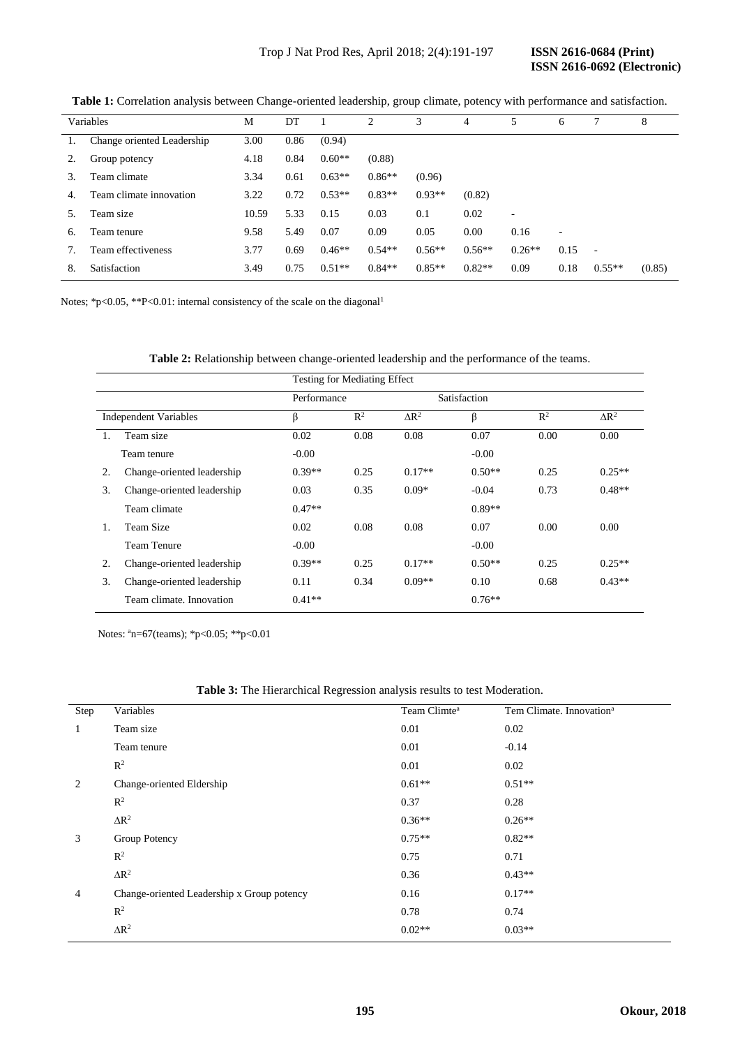| Variables |                            | M     | DT   |          | $\overline{c}$ | 3        | 4        | 5        | 6    | 7        | 8      |
|-----------|----------------------------|-------|------|----------|----------------|----------|----------|----------|------|----------|--------|
|           | Change oriented Leadership | 3.00  | 0.86 | (0.94)   |                |          |          |          |      |          |        |
| 2.        | Group potency              | 4.18  | 0.84 | $0.60**$ | (0.88)         |          |          |          |      |          |        |
| 3.        | Team climate               | 3.34  | 0.61 | $0.63**$ | $0.86**$       | (0.96)   |          |          |      |          |        |
| 4.        | Team climate innovation    | 3.22  | 0.72 | $0.53**$ | $0.83**$       | $0.93**$ | (0.82)   |          |      |          |        |
| 5.        | Team size                  | 10.59 | 5.33 | 0.15     | 0.03           | 0.1      | 0.02     |          |      |          |        |
| 6.        | Team tenure                | 9.58  | 5.49 | 0.07     | 0.09           | 0.05     | 0.00     | 0.16     | ٠    |          |        |
| 7.        | Team effectiveness         | 3.77  | 0.69 | $0.46**$ | $0.54**$       | $0.56**$ | $0.56**$ | $0.26**$ | 0.15 | $\sim$   |        |
| 8.        | Satisfaction               | 3.49  | 0.75 | $0.51**$ | $0.84**$       | $0.85**$ | $0.82**$ | 0.09     | 0.18 | $0.55**$ | (0.85) |

**Table 1:** Correlation analysis between Change-oriented leadership, group climate, potency with performance and satisfaction.

Notes; \*p<0.05, \*\*P<0.01: internal consistency of the scale on the diagonal<sup>1</sup>

**Table 2:** Relationship between change-oriented leadership and the performance of the teams.

|                              |                            | Testing for Mediating Effect |                |              |          |                |              |
|------------------------------|----------------------------|------------------------------|----------------|--------------|----------|----------------|--------------|
|                              |                            | Performance                  |                | Satisfaction |          |                |              |
| <b>Independent Variables</b> |                            | β                            | $\mathbb{R}^2$ | $\Delta R^2$ | β        | $\mathbb{R}^2$ | $\Delta R^2$ |
| 1.                           | Team size                  | 0.02                         | 0.08           | 0.08         | 0.07     | 0.00           | 0.00         |
|                              | Team tenure                | $-0.00$                      |                |              | $-0.00$  |                |              |
| 2.                           | Change-oriented leadership | $0.39**$                     | 0.25           | $0.17**$     | $0.50**$ | 0.25           | $0.25**$     |
| 3.                           | Change-oriented leadership | 0.03                         | 0.35           | $0.09*$      | $-0.04$  | 0.73           | $0.48**$     |
|                              | Team climate               | $0.47**$                     |                |              | $0.89**$ |                |              |
| 1.                           | Team Size                  | 0.02                         | 0.08           | 0.08         | 0.07     | 0.00           | 0.00         |
|                              | <b>Team Tenure</b>         | $-0.00$                      |                |              | $-0.00$  |                |              |
| 2.                           | Change-oriented leadership | $0.39**$                     | 0.25           | $0.17**$     | $0.50**$ | 0.25           | $0.25**$     |
| 3.                           | Change-oriented leadership | 0.11                         | 0.34           | $0.09**$     | 0.10     | 0.68           | $0.43**$     |
|                              | Team climate. Innovation   | $0.41**$                     |                |              | $0.76**$ |                |              |

Notes:  $a_n=67$ (teams);  $p<0.05$ ;  $p<0.01$ 

| Table 3: The Hierarchical Regression analysis results to test Moderation. |  |  |  |
|---------------------------------------------------------------------------|--|--|--|
|---------------------------------------------------------------------------|--|--|--|

| Step | Variables                                  | Team Climte <sup>a</sup> | Tem Climate. Innovation <sup>a</sup> |
|------|--------------------------------------------|--------------------------|--------------------------------------|
| 1    | Team size                                  | 0.01                     | 0.02                                 |
|      | Team tenure                                | 0.01                     | $-0.14$                              |
|      | $\mathbb{R}^2$                             | 0.01                     | 0.02                                 |
| 2    | Change-oriented Eldership                  | $0.61**$                 | $0.51**$                             |
|      | $R^2$                                      | 0.37                     | 0.28                                 |
|      | $\Delta R^2$                               | $0.36**$                 | $0.26**$                             |
| 3    | Group Potency                              | $0.75**$                 | $0.82**$                             |
|      | $R^2$                                      | 0.75                     | 0.71                                 |
|      | $\Delta R^2$                               | 0.36                     | $0.43**$                             |
| 4    | Change-oriented Leadership x Group potency | 0.16                     | $0.17**$                             |
|      | $\mathbb{R}^2$                             | 0.78                     | 0.74                                 |
|      | $\Delta R^2$                               | $0.02**$                 | $0.03**$                             |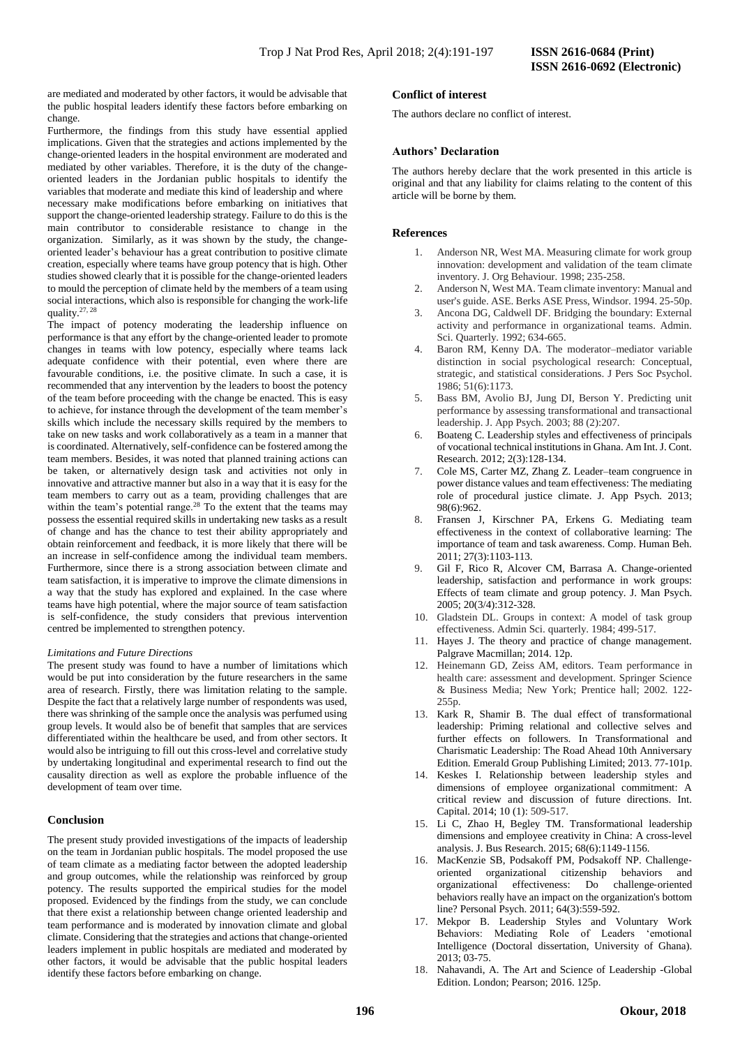are mediated and moderated by other factors, it would be advisable that the public hospital leaders identify these factors before embarking on change.

Furthermore, the findings from this study have essential applied implications. Given that the strategies and actions implemented by the change-oriented leaders in the hospital environment are moderated and mediated by other variables. Therefore, it is the duty of the changeoriented leaders in the Jordanian public hospitals to identify the variables that moderate and mediate this kind of leadership and where necessary make modifications before embarking on initiatives that support the change-oriented leadership strategy. Failure to do this is the main contributor to considerable resistance to change in the organization. Similarly, as it was shown by the study, the changeoriented leader's behaviour has a great contribution to positive climate creation, especially where teams have group potency that is high. Other studies showed clearly that it is possible for the change-oriented leaders to mould the perception of climate held by the members of a team using social interactions, which also is responsible for changing the work-life quality.27, 28

The impact of potency moderating the leadership influence on performance is that any effort by the change-oriented leader to promote changes in teams with low potency, especially where teams lack adequate confidence with their potential, even where there are favourable conditions, i.e. the positive climate. In such a case, it is recommended that any intervention by the leaders to boost the potency of the team before proceeding with the change be enacted. This is easy to achieve, for instance through the development of the team member's skills which include the necessary skills required by the members to take on new tasks and work collaboratively as a team in a manner that is coordinated. Alternatively, self-confidence can be fostered among the team members. Besides, it was noted that planned training actions can be taken, or alternatively design task and activities not only in innovative and attractive manner but also in a way that it is easy for the team members to carry out as a team, providing challenges that are within the team's potential range.<sup>28</sup> To the extent that the teams may possess the essential required skills in undertaking new tasks as a result of change and has the chance to test their ability appropriately and obtain reinforcement and feedback, it is more likely that there will be an increase in self-confidence among the individual team members. Furthermore, since there is a strong association between climate and team satisfaction, it is imperative to improve the climate dimensions in a way that the study has explored and explained. In the case where teams have high potential, where the major source of team satisfaction is self-confidence, the study considers that previous intervention centred be implemented to strengthen potency.

#### *Limitations and Future Directions*

The present study was found to have a number of limitations which would be put into consideration by the future researchers in the same area of research. Firstly, there was limitation relating to the sample. Despite the fact that a relatively large number of respondents was used, there was shrinking of the sample once the analysis was perfumed using group levels. It would also be of benefit that samples that are services differentiated within the healthcare be used, and from other sectors. It would also be intriguing to fill out this cross-level and correlative study by undertaking longitudinal and experimental research to find out the causality direction as well as explore the probable influence of the development of team over time.

#### **Conclusion**

The present study provided investigations of the impacts of leadership on the team in Jordanian public hospitals. The model proposed the use of team climate as a mediating factor between the adopted leadership and group outcomes, while the relationship was reinforced by group potency. The results supported the empirical studies for the model proposed. Evidenced by the findings from the study, we can conclude that there exist a relationship between change oriented leadership and team performance and is moderated by innovation climate and global climate. Considering that the strategies and actions that change-oriented leaders implement in public hospitals are mediated and moderated by other factors, it would be advisable that the public hospital leaders identify these factors before embarking on change.

### **Conflict of interest**

The authors declare no conflict of interest.

#### **Authors' Declaration**

The authors hereby declare that the work presented in this article is original and that any liability for claims relating to the content of this article will be borne by them.

#### **References**

- 1. Anderson NR, West MA. Measuring climate for work group innovation: development and validation of the team climate inventory. J. Org Behaviour. 1998; 235-258.
- Anderson N, West MA. Team climate inventory: Manual and user's guide. ASE. Berks ASE Press, Windsor. 1994. 25-50p.
- 3. Ancona DG, Caldwell DF. Bridging the boundary: External activity and performance in organizational teams. Admin. Sci. Quarterly. 1992; 634-665.
- 4. Baron RM, Kenny DA. The moderator–mediator variable distinction in social psychological research: Conceptual, strategic, and statistical considerations. J Pers Soc Psychol. 1986; 51(6):1173.
- 5. Bass BM, Avolio BJ, Jung DI, Berson Y. Predicting unit performance by assessing transformational and transactional leadership. J. App Psych. 2003; 88 (2):207.
- 6. Boateng C. Leadership styles and effectiveness of principals of vocational technical institutions in Ghana. Am Int. J. Cont. Research. 2012; 2(3):128-134.
- 7. Cole MS, Carter MZ, Zhang Z. Leader–team congruence in power distance values and team effectiveness: The mediating role of procedural justice climate. J. App Psych. 2013; 98(6):962.
- 8. Fransen J, Kirschner PA, Erkens G. Mediating team effectiveness in the context of collaborative learning: The importance of team and task awareness. Comp. Human Beh. 2011; 27(3):1103-113.
- 9. Gil F, Rico R, Alcover CM, Barrasa A. Change-oriented leadership, satisfaction and performance in work groups: Effects of team climate and group potency. J. Man Psych. 2005; 20(3/4):312-328.
- 10. Gladstein DL. Groups in context: A model of task group effectiveness. Admin Sci. quarterly. 1984; 499-517.
- 11. Hayes J. The theory and practice of change management. Palgrave Macmillan; 2014. 12p.
- 12. Heinemann GD, Zeiss AM, editors. Team performance in health care: assessment and development. Springer Science & Business Media; New York; Prentice hall; 2002. 122- 255p.
- 13. Kark R, Shamir B. The dual effect of transformational leadership: Priming relational and collective selves and further effects on followers. In Transformational and Charismatic Leadership: The Road Ahead 10th Anniversary Edition. Emerald Group Publishing Limited; 2013. 77-101p.
- 14. Keskes I. Relationship between leadership styles and dimensions of employee organizational commitment: A critical review and discussion of future directions. Int. Capital. 2014; 10 (1): 509-517.
- 15. Li C, Zhao H, Begley TM. Transformational leadership dimensions and employee creativity in China: A cross-level analysis. J. Bus Research. 2015; 68(6):1149-1156.
- 16. MacKenzie SB, Podsakoff PM, Podsakoff NP. Challenge‐ oriented organizational citizenship behaviors and organizational effectiveness: Do challenge‐oriented behaviors really have an impact on the organization's bottom line? Personal Psych. 2011; 64(3):559-592.
- 17. Mekpor B. Leadership Styles and Voluntary Work Behaviors: Mediating Role of Leaders 'emotional Intelligence (Doctoral dissertation, University of Ghana). 2013; 03-75.
- 18. Nahavandi, A. The Art and Science of Leadership -Global Edition. London; Pearson; 2016. 125p.